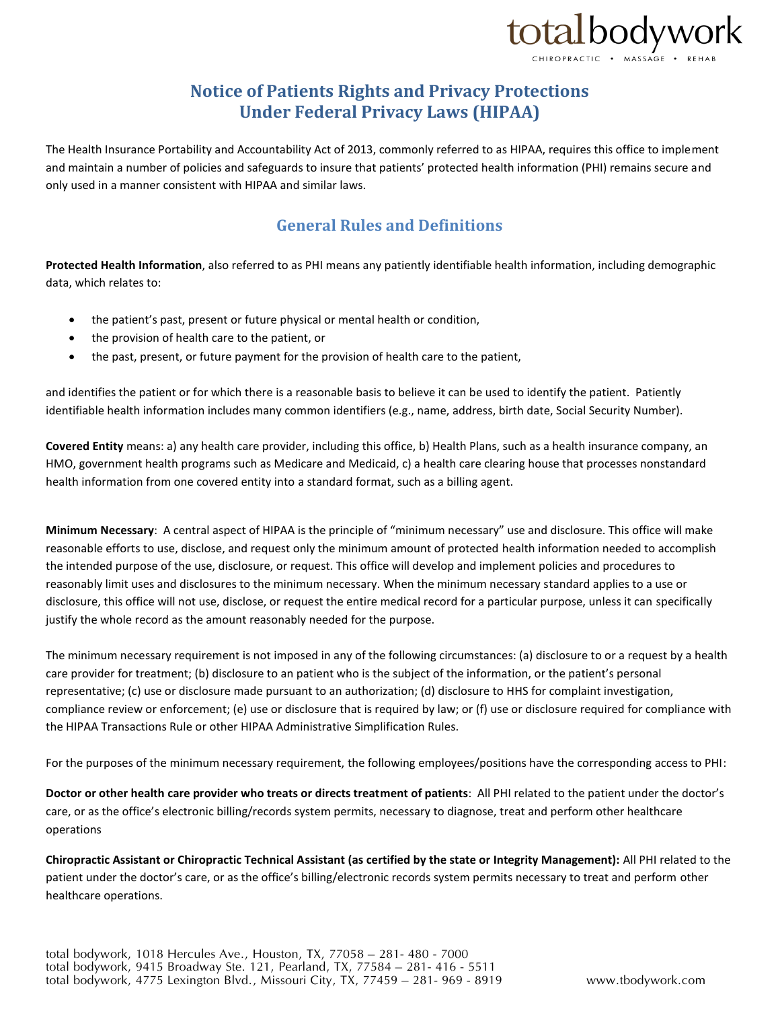

## **Notice of Patients Rights and Privacy Protections Under Federal Privacy Laws (HIPAA)**

The Health Insurance Portability and Accountability Act of 2013, commonly referred to as HIPAA, requires this office to implement and maintain a number of policies and safeguards to insure that patients' protected health information (PHI) remains secure and only used in a manner consistent with HIPAA and similar laws.

### **General Rules and Definitions**

**Protected Health Information**, also referred to as PHI means any patiently identifiable health information, including demographic data, which relates to:

- the patient's past, present or future physical or mental health or condition,
- the provision of health care to the patient, or
- the past, present, or future payment for the provision of health care to the patient,

and identifies the patient or for which there is a reasonable basis to believe it can be used to identify the patient. Patiently identifiable health information includes many common identifiers (e.g., name, address, birth date, Social Security Number).

**Covered Entity** means: a) any health care provider, including this office, b) Health Plans, such as a health insurance company, an HMO, government health programs such as Medicare and Medicaid, c) a health care clearing house that processes nonstandard health information from one covered entity into a standard format, such as a billing agent.

**Minimum Necessary**: A central aspect of HIPAA is the principle of "minimum necessary" use and disclosure. This office will make reasonable efforts to use, disclose, and request only the minimum amount of protected health information needed to accomplish the intended purpose of the use, disclosure, or request. This office will develop and implement policies and procedures to reasonably limit uses and disclosures to the minimum necessary. When the minimum necessary standard applies to a use or disclosure, this office will not use, disclose, or request the entire medical record for a particular purpose, unless it can specifically justify the whole record as the amount reasonably needed for the purpose.

The minimum necessary requirement is not imposed in any of the following circumstances: (a) disclosure to or a request by a health care provider for treatment; (b) disclosure to an patient who is the subject of the information, or the patient's personal representative; (c) use or disclosure made pursuant to an authorization; (d) disclosure to HHS for complaint investigation, compliance review or enforcement; (e) use or disclosure that is required by law; or (f) use or disclosure required for compliance with the HIPAA Transactions Rule or other HIPAA Administrative Simplification Rules.

For the purposes of the minimum necessary requirement, the following employees/positions have the corresponding access to PHI:

**Doctor or other health care provider who treats or directs treatment of patients**: All PHI related to the patient under the doctor's care, or as the office's electronic billing/records system permits, necessary to diagnose, treat and perform other healthcare operations

**Chiropractic Assistant or Chiropractic Technical Assistant (as certified by the state or Integrity Management):** All PHI related to the patient under the doctor's care, or as the office's billing/electronic records system permits necessary to treat and perform other healthcare operations.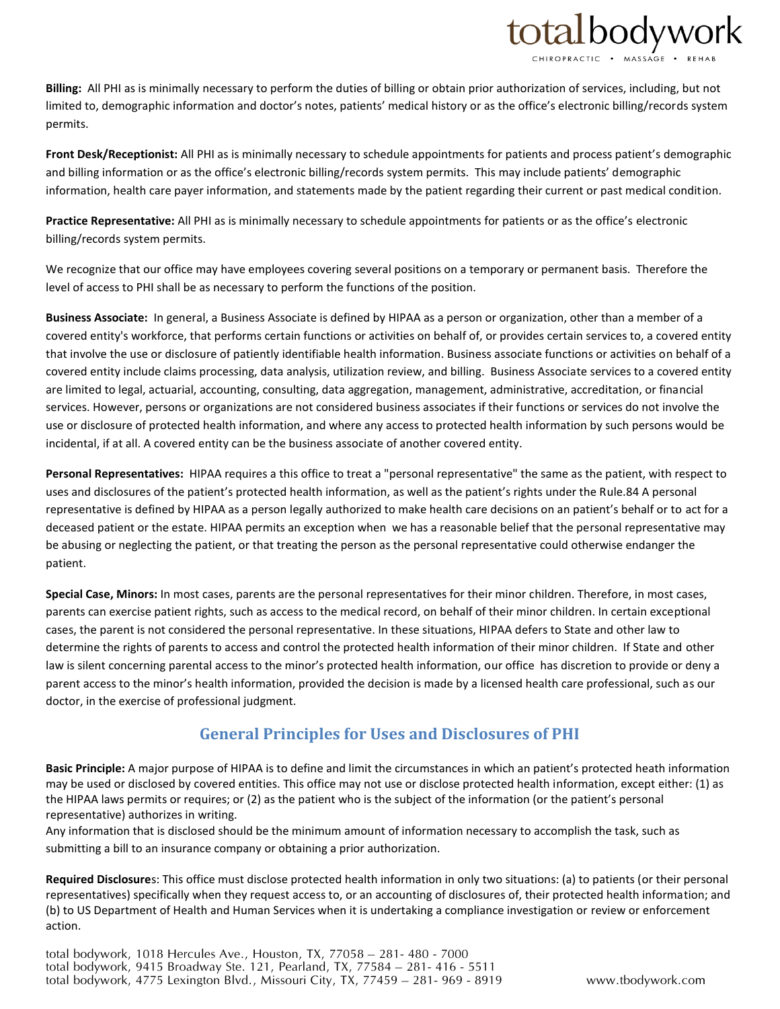

**Billing:** All PHI as is minimally necessary to perform the duties of billing or obtain prior authorization of services, including, but not limited to, demographic information and doctor's notes, patients' medical history or as the office's electronic billing/records system permits.

**Front Desk/Receptionist:** All PHI as is minimally necessary to schedule appointments for patients and process patient's demographic and billing information or as the office's electronic billing/records system permits. This may include patients' demographic information, health care payer information, and statements made by the patient regarding their current or past medical condition.

**Practice Representative:** All PHI as is minimally necessary to schedule appointments for patients or as the office's electronic billing/records system permits.

We recognize that our office may have employees covering several positions on a temporary or permanent basis. Therefore the level of access to PHI shall be as necessary to perform the functions of the position.

**Business Associate:** In general, a Business Associate is defined by HIPAA as a person or organization, other than a member of a covered entity's workforce, that performs certain functions or activities on behalf of, or provides certain services to, a covered entity that involve the use or disclosure of patiently identifiable health information. Business associate functions or activities on behalf of a covered entity include claims processing, data analysis, utilization review, and billing. Business Associate services to a covered entity are limited to legal, actuarial, accounting, consulting, data aggregation, management, administrative, accreditation, or financial services. However, persons or organizations are not considered business associates if their functions or services do not involve the use or disclosure of protected health information, and where any access to protected health information by such persons would be incidental, if at all. A covered entity can be the business associate of another covered entity.

**Personal Representatives:** HIPAA requires a this office to treat a "personal representative" the same as the patient, with respect to uses and disclosures of the patient's protected health information, as well as the patient's rights under the Rule.84 A personal representative is defined by HIPAA as a person legally authorized to make health care decisions on an patient's behalf or to act for a deceased patient or the estate. HIPAA permits an exception when we has a reasonable belief that the personal representative may be abusing or neglecting the patient, or that treating the person as the personal representative could otherwise endanger the patient.

**Special Case, Minors:** In most cases, parents are the personal representatives for their minor children. Therefore, in most cases, parents can exercise patient rights, such as access to the medical record, on behalf of their minor children. In certain exceptional cases, the parent is not considered the personal representative. In these situations, HIPAA defers to State and other law to determine the rights of parents to access and control the protected health information of their minor children. If State and other law is silent concerning parental access to the minor's protected health information, our office has discretion to provide or deny a parent access to the minor's health information, provided the decision is made by a licensed health care professional, such as our doctor, in the exercise of professional judgment.

### **General Principles for Uses and Disclosures of PHI**

**Basic Principle:** A major purpose of HIPAA is to define and limit the circumstances in which an patient's protected heath information may be used or disclosed by covered entities. This office may not use or disclose protected health information, except either: (1) as the HIPAA laws permits or requires; or (2) as the patient who is the subject of the information (or the patient's personal representative) authorizes in writing.

Any information that is disclosed should be the minimum amount of information necessary to accomplish the task, such as submitting a bill to an insurance company or obtaining a prior authorization.

**Required Disclosure**s: This office must disclose protected health information in only two situations: (a) to patients (or their personal representatives) specifically when they request access to, or an accounting of disclosures of, their protected health information; and (b) to US Department of Health and Human Services when it is undertaking a compliance investigation or review or enforcement action.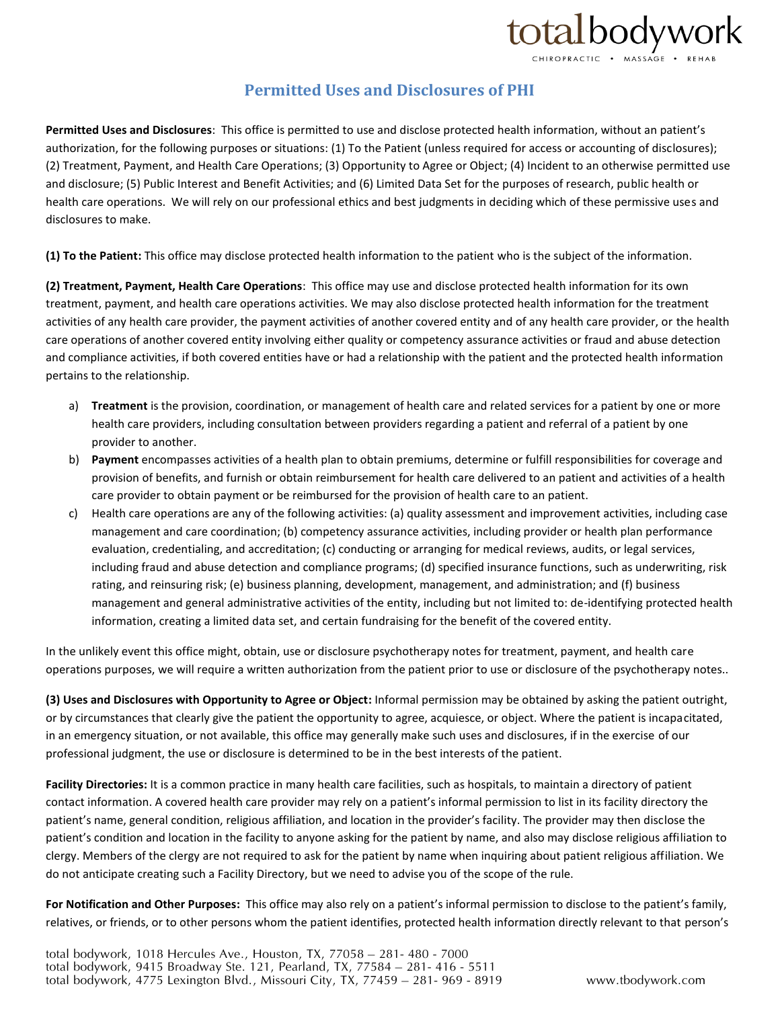# totalbodywork

**Permitted Uses and Disclosures of PHI**

**Permitted Uses and Disclosures**: This office is permitted to use and disclose protected health information, without an patient's authorization, for the following purposes or situations: (1) To the Patient (unless required for access or accounting of disclosures); (2) Treatment, Payment, and Health Care Operations; (3) Opportunity to Agree or Object; (4) Incident to an otherwise permitted use and disclosure; (5) Public Interest and Benefit Activities; and (6) Limited Data Set for the purposes of research, public health or health care operations. We will rely on our professional ethics and best judgments in deciding which of these permissive uses and disclosures to make.

**(1) To the Patient:** This office may disclose protected health information to the patient who is the subject of the information.

**(2) Treatment, Payment, Health Care Operations**: This office may use and disclose protected health information for its own treatment, payment, and health care operations activities. We may also disclose protected health information for the treatment activities of any health care provider, the payment activities of another covered entity and of any health care provider, or the health care operations of another covered entity involving either quality or competency assurance activities or fraud and abuse detection and compliance activities, if both covered entities have or had a relationship with the patient and the protected health information pertains to the relationship.

- a) **Treatment** is the provision, coordination, or management of health care and related services for a patient by one or more health care providers, including consultation between providers regarding a patient and referral of a patient by one provider to another.
- b) **Payment** encompasses activities of a health plan to obtain premiums, determine or fulfill responsibilities for coverage and provision of benefits, and furnish or obtain reimbursement for health care delivered to an patient and activities of a health care provider to obtain payment or be reimbursed for the provision of health care to an patient.
- c) Health care operations are any of the following activities: (a) quality assessment and improvement activities, including case management and care coordination; (b) competency assurance activities, including provider or health plan performance evaluation, credentialing, and accreditation; (c) conducting or arranging for medical reviews, audits, or legal services, including fraud and abuse detection and compliance programs; (d) specified insurance functions, such as underwriting, risk rating, and reinsuring risk; (e) business planning, development, management, and administration; and (f) business management and general administrative activities of the entity, including but not limited to: de-identifying protected health information, creating a limited data set, and certain fundraising for the benefit of the covered entity.

In the unlikely event this office might, obtain, use or disclosure psychotherapy notes for treatment, payment, and health care operations purposes, we will require a written authorization from the patient prior to use or disclosure of the psychotherapy notes..

**(3) Uses and Disclosures with Opportunity to Agree or Object:** Informal permission may be obtained by asking the patient outright, or by circumstances that clearly give the patient the opportunity to agree, acquiesce, or object. Where the patient is incapacitated, in an emergency situation, or not available, this office may generally make such uses and disclosures, if in the exercise of our professional judgment, the use or disclosure is determined to be in the best interests of the patient.

**Facility Directories:** It is a common practice in many health care facilities, such as hospitals, to maintain a directory of patient contact information. A covered health care provider may rely on a patient's informal permission to list in its facility directory the patient's name, general condition, religious affiliation, and location in the provider's facility. The provider may then disclose the patient's condition and location in the facility to anyone asking for the patient by name, and also may disclose religious affiliation to clergy. Members of the clergy are not required to ask for the patient by name when inquiring about patient religious affiliation. We do not anticipate creating such a Facility Directory, but we need to advise you of the scope of the rule.

**For Notification and Other Purposes:** This office may also rely on a patient's informal permission to disclose to the patient's family, relatives, or friends, or to other persons whom the patient identifies, protected health information directly relevant to that person's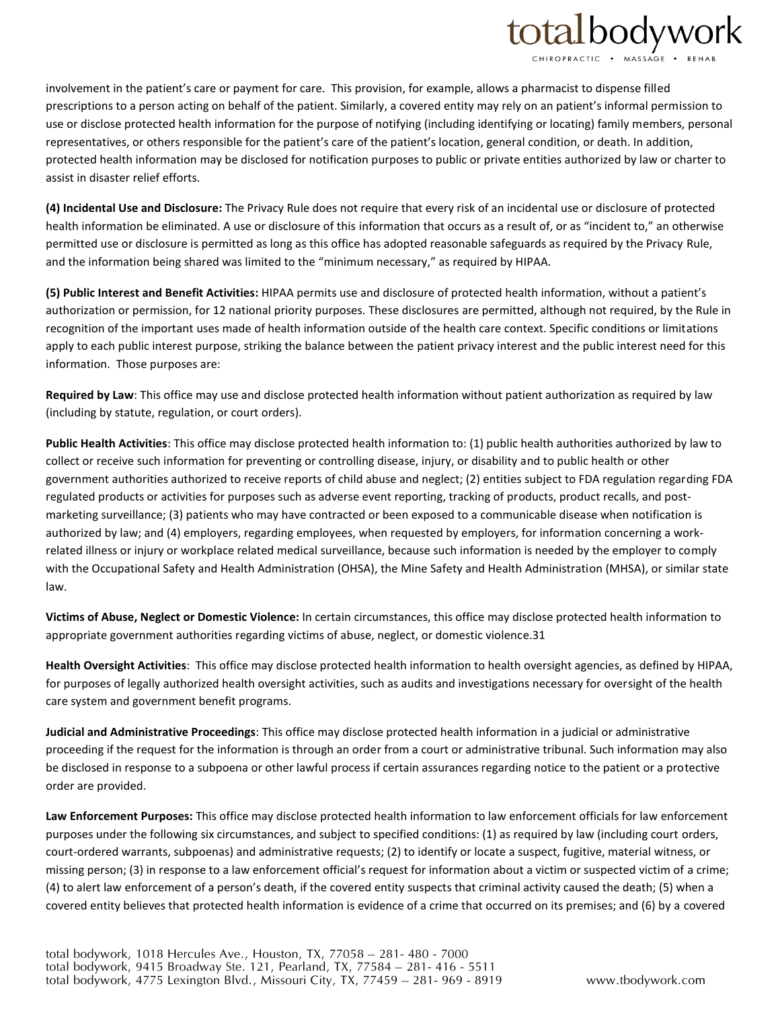## totalbodywork

involvement in the patient's care or payment for care. This provision, for example, allows a pharmacist to dispense filled prescriptions to a person acting on behalf of the patient. Similarly, a covered entity may rely on an patient's informal permission to use or disclose protected health information for the purpose of notifying (including identifying or locating) family members, personal representatives, or others responsible for the patient's care of the patient's location, general condition, or death. In addition, protected health information may be disclosed for notification purposes to public or private entities authorized by law or charter to assist in disaster relief efforts.

**(4) Incidental Use and Disclosure:** The Privacy Rule does not require that every risk of an incidental use or disclosure of protected health information be eliminated. A use or disclosure of this information that occurs as a result of, or as "incident to," an otherwise permitted use or disclosure is permitted as long as this office has adopted reasonable safeguards as required by the Privacy Rule, and the information being shared was limited to the "minimum necessary," as required by HIPAA.

**(5) Public Interest and Benefit Activities:** HIPAA permits use and disclosure of protected health information, without a patient's authorization or permission, for 12 national priority purposes. These disclosures are permitted, although not required, by the Rule in recognition of the important uses made of health information outside of the health care context. Specific conditions or limitations apply to each public interest purpose, striking the balance between the patient privacy interest and the public interest need for this information. Those purposes are:

**Required by Law**: This office may use and disclose protected health information without patient authorization as required by law (including by statute, regulation, or court orders).

**Public Health Activities**: This office may disclose protected health information to: (1) public health authorities authorized by law to collect or receive such information for preventing or controlling disease, injury, or disability and to public health or other government authorities authorized to receive reports of child abuse and neglect; (2) entities subject to FDA regulation regarding FDA regulated products or activities for purposes such as adverse event reporting, tracking of products, product recalls, and postmarketing surveillance; (3) patients who may have contracted or been exposed to a communicable disease when notification is authorized by law; and (4) employers, regarding employees, when requested by employers, for information concerning a workrelated illness or injury or workplace related medical surveillance, because such information is needed by the employer to comply with the Occupational Safety and Health Administration (OHSA), the Mine Safety and Health Administration (MHSA), or similar state law.

**Victims of Abuse, Neglect or Domestic Violence:** In certain circumstances, this office may disclose protected health information to appropriate government authorities regarding victims of abuse, neglect, or domestic violence.31

**Health Oversight Activities**: This office may disclose protected health information to health oversight agencies, as defined by HIPAA, for purposes of legally authorized health oversight activities, such as audits and investigations necessary for oversight of the health care system and government benefit programs.

**Judicial and Administrative Proceedings**: This office may disclose protected health information in a judicial or administrative proceeding if the request for the information is through an order from a court or administrative tribunal. Such information may also be disclosed in response to a subpoena or other lawful process if certain assurances regarding notice to the patient or a protective order are provided.

**Law Enforcement Purposes:** This office may disclose protected health information to law enforcement officials for law enforcement purposes under the following six circumstances, and subject to specified conditions: (1) as required by law (including court orders, court-ordered warrants, subpoenas) and administrative requests; (2) to identify or locate a suspect, fugitive, material witness, or missing person; (3) in response to a law enforcement official's request for information about a victim or suspected victim of a crime; (4) to alert law enforcement of a person's death, if the covered entity suspects that criminal activity caused the death; (5) when a covered entity believes that protected health information is evidence of a crime that occurred on its premises; and (6) by a covered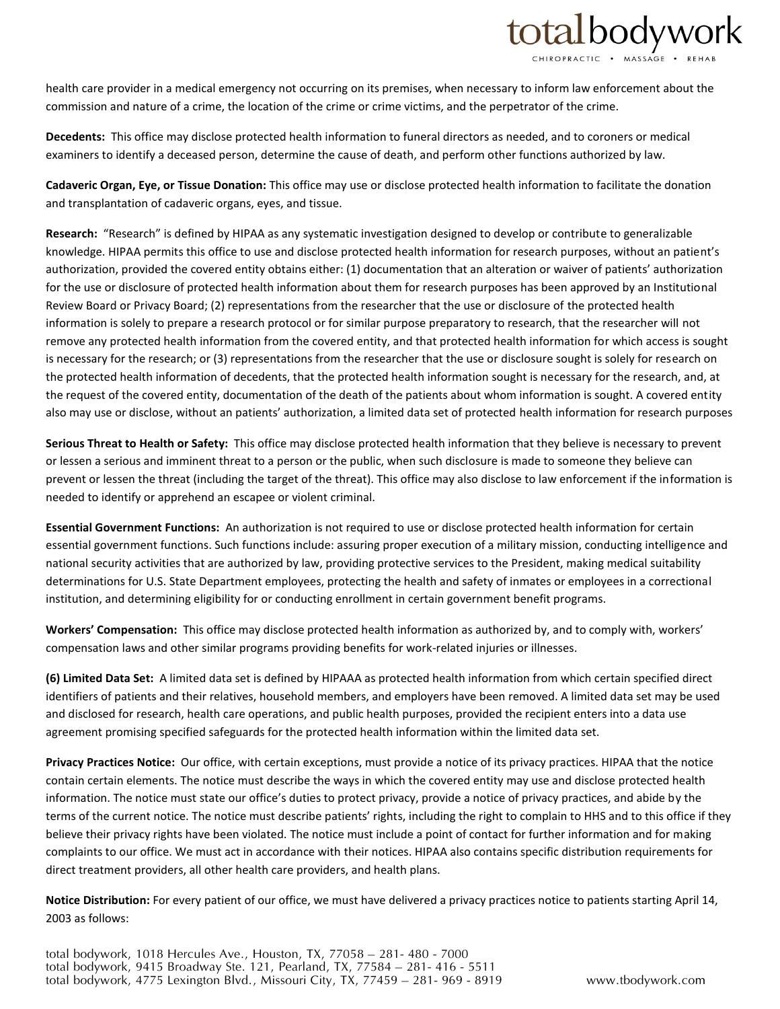

health care provider in a medical emergency not occurring on its premises, when necessary to inform law enforcement about the commission and nature of a crime, the location of the crime or crime victims, and the perpetrator of the crime.

**Decedents:** This office may disclose protected health information to funeral directors as needed, and to coroners or medical examiners to identify a deceased person, determine the cause of death, and perform other functions authorized by law.

**Cadaveric Organ, Eye, or Tissue Donation:** This office may use or disclose protected health information to facilitate the donation and transplantation of cadaveric organs, eyes, and tissue.

**Research:** "Research" is defined by HIPAA as any systematic investigation designed to develop or contribute to generalizable knowledge. HIPAA permits this office to use and disclose protected health information for research purposes, without an patient's authorization, provided the covered entity obtains either: (1) documentation that an alteration or waiver of patients' authorization for the use or disclosure of protected health information about them for research purposes has been approved by an Institutional Review Board or Privacy Board; (2) representations from the researcher that the use or disclosure of the protected health information is solely to prepare a research protocol or for similar purpose preparatory to research, that the researcher will not remove any protected health information from the covered entity, and that protected health information for which access is sought is necessary for the research; or (3) representations from the researcher that the use or disclosure sought is solely for research on the protected health information of decedents, that the protected health information sought is necessary for the research, and, at the request of the covered entity, documentation of the death of the patients about whom information is sought. A covered entity also may use or disclose, without an patients' authorization, a limited data set of protected health information for research purposes

**Serious Threat to Health or Safety:** This office may disclose protected health information that they believe is necessary to prevent or lessen a serious and imminent threat to a person or the public, when such disclosure is made to someone they believe can prevent or lessen the threat (including the target of the threat). This office may also disclose to law enforcement if the information is needed to identify or apprehend an escapee or violent criminal.

**Essential Government Functions:** An authorization is not required to use or disclose protected health information for certain essential government functions. Such functions include: assuring proper execution of a military mission, conducting intelligence and national security activities that are authorized by law, providing protective services to the President, making medical suitability determinations for U.S. State Department employees, protecting the health and safety of inmates or employees in a correctional institution, and determining eligibility for or conducting enrollment in certain government benefit programs.

**Workers' Compensation:** This office may disclose protected health information as authorized by, and to comply with, workers' compensation laws and other similar programs providing benefits for work-related injuries or illnesses.

**(6) Limited Data Set:** A limited data set is defined by HIPAAA as protected health information from which certain specified direct identifiers of patients and their relatives, household members, and employers have been removed. A limited data set may be used and disclosed for research, health care operations, and public health purposes, provided the recipient enters into a data use agreement promising specified safeguards for the protected health information within the limited data set.

**Privacy Practices Notice:** Our office, with certain exceptions, must provide a notice of its privacy practices. HIPAA that the notice contain certain elements. The notice must describe the ways in which the covered entity may use and disclose protected health information. The notice must state our office's duties to protect privacy, provide a notice of privacy practices, and abide by the terms of the current notice. The notice must describe patients' rights, including the right to complain to HHS and to this office if they believe their privacy rights have been violated. The notice must include a point of contact for further information and for making complaints to our office. We must act in accordance with their notices. HIPAA also contains specific distribution requirements for direct treatment providers, all other health care providers, and health plans.

**Notice Distribution:** For every patient of our office, we must have delivered a privacy practices notice to patients starting April 14, 2003 as follows: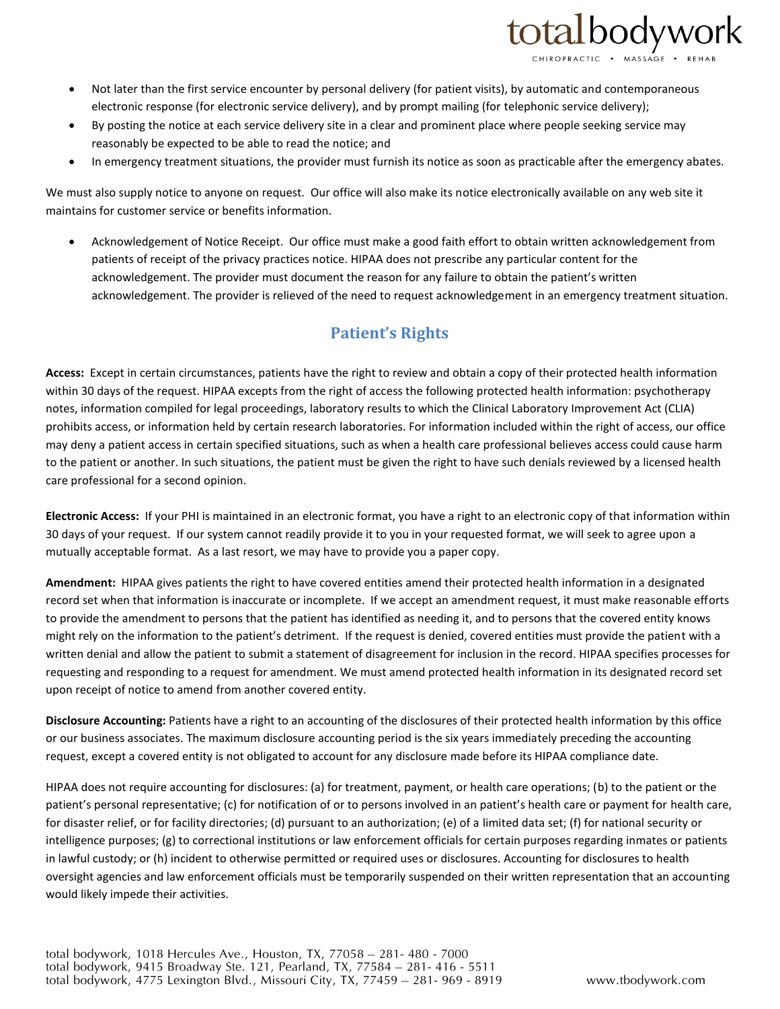

- Not later than the first service encounter by personal delivery (for patient visits), by automatic and contemporaneous electronic response (for electronic service delivery), and by prompt mailing (for telephonic service delivery);
- By posting the notice at each service delivery site in a clear and prominent place where people seeking service may reasonably be expected to be able to read the notice; and
- In emergency treatment situations, the provider must furnish its notice as soon as practicable after the emergency abates.

We must also supply notice to anyone on request. Our office will also make its notice electronically available on any web site it maintains for customer service or benefits information.

 Acknowledgement of Notice Receipt. Our office must make a good faith effort to obtain written acknowledgement from patients of receipt of the privacy practices notice. HIPAA does not prescribe any particular content for the acknowledgement. The provider must document the reason for any failure to obtain the patient's written acknowledgement. The provider is relieved of the need to request acknowledgement in an emergency treatment situation.

### **Patient's Rights**

**Access:** Except in certain circumstances, patients have the right to review and obtain a copy of their protected health information within 30 days of the request. HIPAA excepts from the right of access the following protected health information: psychotherapy notes, information compiled for legal proceedings, laboratory results to which the Clinical Laboratory Improvement Act (CLIA) prohibits access, or information held by certain research laboratories. For information included within the right of access, our office may deny a patient access in certain specified situations, such as when a health care professional believes access could cause harm to the patient or another. In such situations, the patient must be given the right to have such denials reviewed by a licensed health care professional for a second opinion.

**Electronic Access:** If your PHI is maintained in an electronic format, you have a right to an electronic copy of that information within 30 days of your request. If our system cannot readily provide it to you in your requested format, we will seek to agree upon a mutually acceptable format. As a last resort, we may have to provide you a paper copy.

**Amendment:** HIPAA gives patients the right to have covered entities amend their protected health information in a designated record set when that information is inaccurate or incomplete. If we accept an amendment request, it must make reasonable efforts to provide the amendment to persons that the patient has identified as needing it, and to persons that the covered entity knows might rely on the information to the patient's detriment. If the request is denied, covered entities must provide the patient with a written denial and allow the patient to submit a statement of disagreement for inclusion in the record. HIPAA specifies processes for requesting and responding to a request for amendment. We must amend protected health information in its designated record set upon receipt of notice to amend from another covered entity.

**Disclosure Accounting:** Patients have a right to an accounting of the disclosures of their protected health information by this office or our business associates. The maximum disclosure accounting period is the six years immediately preceding the accounting request, except a covered entity is not obligated to account for any disclosure made before its HIPAA compliance date.

HIPAA does not require accounting for disclosures: (a) for treatment, payment, or health care operations; (b) to the patient or the patient's personal representative; (c) for notification of or to persons involved in an patient's health care or payment for health care, for disaster relief, or for facility directories; (d) pursuant to an authorization; (e) of a limited data set; (f) for national security or intelligence purposes; (g) to correctional institutions or law enforcement officials for certain purposes regarding inmates or patients in lawful custody; or (h) incident to otherwise permitted or required uses or disclosures. Accounting for disclosures to health oversight agencies and law enforcement officials must be temporarily suspended on their written representation that an accounting would likely impede their activities.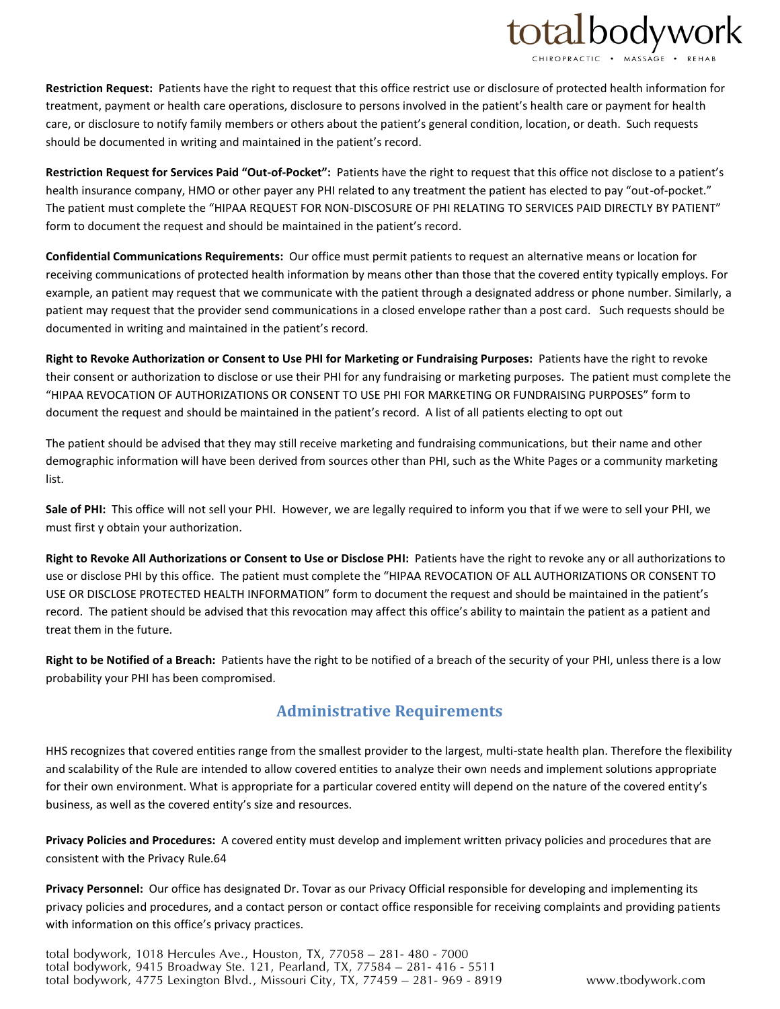# totalbodywork

**Restriction Request:** Patients have the right to request that this office restrict use or disclosure of protected health information for treatment, payment or health care operations, disclosure to persons involved in the patient's health care or payment for health care, or disclosure to notify family members or others about the patient's general condition, location, or death. Such requests should be documented in writing and maintained in the patient's record.

**Restriction Request for Services Paid "Out-of-Pocket":** Patients have the right to request that this office not disclose to a patient's health insurance company, HMO or other payer any PHI related to any treatment the patient has elected to pay "out-of-pocket." The patient must complete the "HIPAA REQUEST FOR NON-DISCOSURE OF PHI RELATING TO SERVICES PAID DIRECTLY BY PATIENT" form to document the request and should be maintained in the patient's record.

**Confidential Communications Requirements:** Our office must permit patients to request an alternative means or location for receiving communications of protected health information by means other than those that the covered entity typically employs. For example, an patient may request that we communicate with the patient through a designated address or phone number. Similarly, a patient may request that the provider send communications in a closed envelope rather than a post card. Such requests should be documented in writing and maintained in the patient's record.

**Right to Revoke Authorization or Consent to Use PHI for Marketing or Fundraising Purposes:** Patients have the right to revoke their consent or authorization to disclose or use their PHI for any fundraising or marketing purposes. The patient must complete the "HIPAA REVOCATION OF AUTHORIZATIONS OR CONSENT TO USE PHI FOR MARKETING OR FUNDRAISING PURPOSES" form to document the request and should be maintained in the patient's record. A list of all patients electing to opt out

The patient should be advised that they may still receive marketing and fundraising communications, but their name and other demographic information will have been derived from sources other than PHI, such as the White Pages or a community marketing list.

**Sale of PHI:** This office will not sell your PHI. However, we are legally required to inform you that if we were to sell your PHI, we must first y obtain your authorization.

**Right to Revoke All Authorizations or Consent to Use or Disclose PHI:** Patients have the right to revoke any or all authorizations to use or disclose PHI by this office. The patient must complete the "HIPAA REVOCATION OF ALL AUTHORIZATIONS OR CONSENT TO USE OR DISCLOSE PROTECTED HEALTH INFORMATION" form to document the request and should be maintained in the patient's record. The patient should be advised that this revocation may affect this office's ability to maintain the patient as a patient and treat them in the future.

**Right to be Notified of a Breach:** Patients have the right to be notified of a breach of the security of your PHI, unless there is a low probability your PHI has been compromised.

### **Administrative Requirements**

HHS recognizes that covered entities range from the smallest provider to the largest, multi-state health plan. Therefore the flexibility and scalability of the Rule are intended to allow covered entities to analyze their own needs and implement solutions appropriate for their own environment. What is appropriate for a particular covered entity will depend on the nature of the covered entity's business, as well as the covered entity's size and resources.

**Privacy Policies and Procedures:** A covered entity must develop and implement written privacy policies and procedures that are consistent with the Privacy Rule.64

**Privacy Personnel:** Our office has designated Dr. Tovar as our Privacy Official responsible for developing and implementing its privacy policies and procedures, and a contact person or contact office responsible for receiving complaints and providing patients with information on this office's privacy practices.